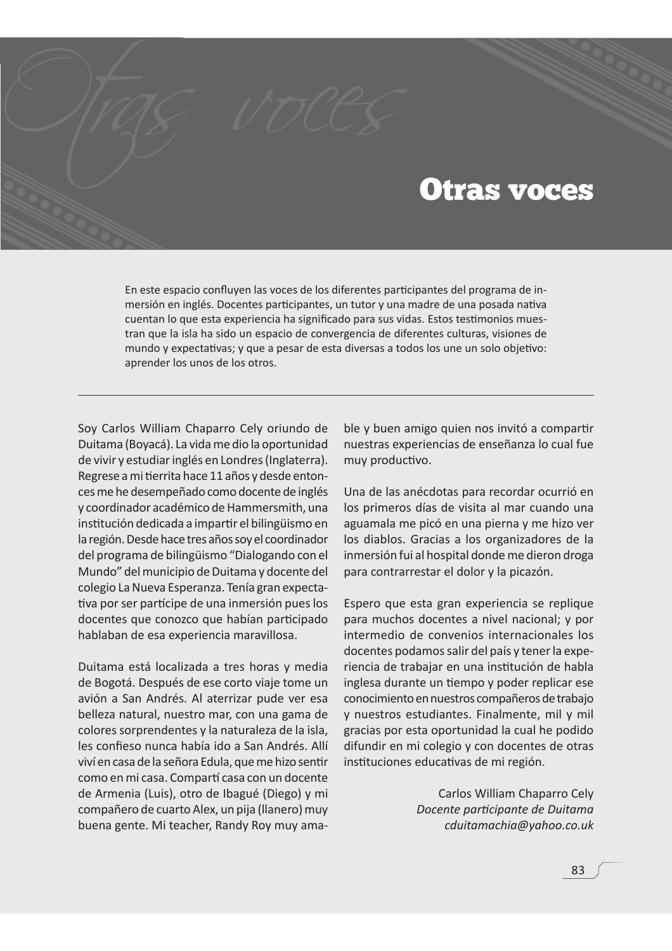## Otras voces

En este espacio confluyen las voces de los diferentes participantes del programa de inmersión en inglés. Docentes participantes, un tutor y una madre de una posada nativa cuentan lo que esta experiencia ha significado para sus vidas. Estos testimonios muestran que la isla ha sido un espacio de convergencia de diferentes culturas, visiones de mundo y expectativas; y que a pesar de esta diversas a todos los une un solo objetivo: aprender los unos de los otros.

Soy Carlos William Chaparro Cely oriundo de Duitama (Boyacá). La vida me dio la oportunidad de vivir y estudiar inglés en Londres (Inglaterra). Regrese a mi tierrita hace 11 años y desde entonces me he desempeñado como docente de inglés y coordinador académico de Hammersmith, una institución dedicada a impartir el bilingüismo en la región. Desde hace tres años soy el coordinador del programa de bilingüismo "Dialogando con el Mundo" del municipio de Duitama y docente del colegio La Nueva Esperanza. Tenía gran expectativa por ser partícipe de una inmersión pues los docentes que conozco que habían participado hablaban de esa experiencia maravillosa.

Duitama está localizada a tres horas y media de Bogotá. Después de ese corto viaje tome un avión a San Andrés. Al aterrizar pude ver esa belleza natural, nuestro mar, con una gama de colores sorprendentes y la naturaleza de la isla, les confieso nunca había ido a San Andrés. Allí viví en casa de la señora Edula, que me hizo sentir como en mi casa. Compartí casa con un docente de Armenia (Luis), otro de Ibagué (Diego) y mi compañero de cuarto Alex, un pija (llanero) muy buena gente. Mi teacher, Randy Roy muy amable y buen amigo quien nos invitó a compartir nuestras experiencias de enseñanza lo cual fue muy productivo.

Una de las anécdotas para recordar ocurrió en los primeros días de visita al mar cuando una aguamala me picó en una pierna y me hizo ver los diablos. Gracias a los organizadores de la inmersión fui al hospital donde me dieron droga para contrarrestar el dolor y la picazón.

Espero que esta gran experiencia se replique para muchos docentes a nivel nacional; y por intermedio de convenios internacionales los docentes podamos salir del país y tener la experiencia de trabajar en una institución de habla inglesa durante un tiempo y poder replicar ese conocimiento en nuestros compañeros de trabajo y nuestros estudiantes. Finalmente, mil y mil gracias por esta oportunidad la cual he podido difundir en mi colegio y con docentes de otras instituciones educativas de mi región.

> Carlos William Chaparro Cely Docente participante de Duitama cduitamachia@yahoo.co.uk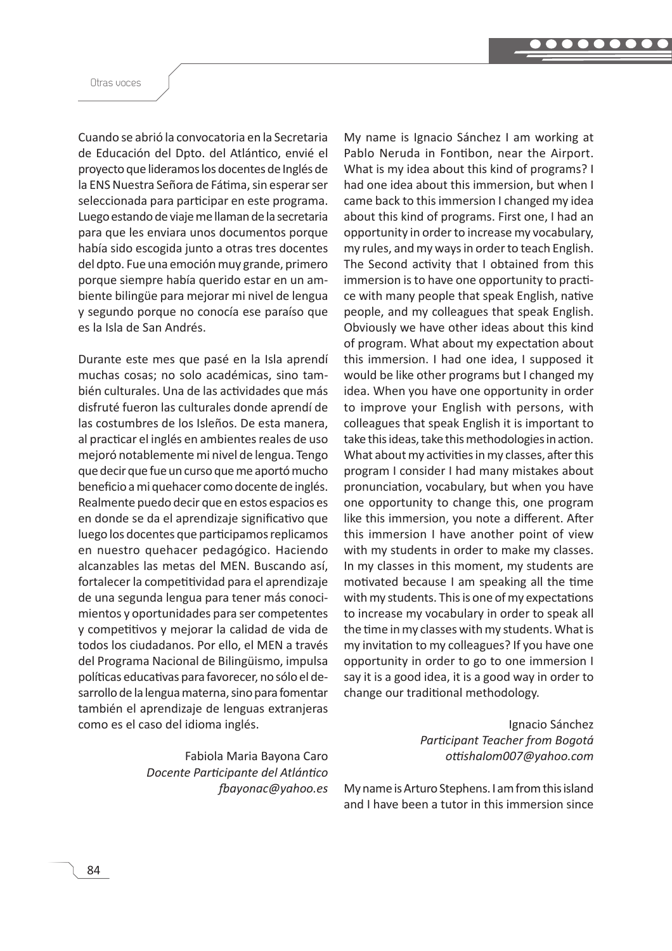Otras voces

Cuando se abrió la convocatoria en la Secretaria de Educación del Dpto. del Atlántico, envié el proyecto que lideramos los docentes de Inglés de la ENS Nuestra Señora de Fátima, sin esperar ser seleccionada para participar en este programa. Luego estando de viaje me llaman de la secretaria para que les enviara unos documentos porque había sido escogida junto a otras tres docentes del dpto. Fue una emoción muy grande, primero porque siempre había querido estar en un ambiente bilingüe para mejorar mi nivel de lengua y segundo porque no conocía ese paraíso que es la Isla de San Andrés.

Durante este mes que pasé en la Isla aprendí muchas cosas; no solo académicas, sino también culturales. Una de las actividades que más disfruté fueron las culturales donde aprendí de las costumbres de los Isleños. De esta manera, al practicar el inglés en ambientes reales de uso mejoró notablemente mi nivel de lengua. Tengo que decir que fue un curso que me aportó mucho beneficio a mi quehacer como docente de inglés. Realmente puedo decir que en estos espacios es en donde se da el aprendizaje significativo que luego los docentes que participamos replicamos en nuestro quehacer pedagógico. Haciendo alcanzables las metas del MEN. Buscando así, fortalecer la competitividad para el aprendizaje de una segunda lengua para tener más conocimientos y oportunidades para ser competentes y competitivos y mejorar la calidad de vida de todos los ciudadanos. Por ello, el MEN a través del Programa Nacional de Bilingüismo, impulsa políticas educativas para favorecer, no sólo el desarrollo de la lengua materna, sino para fomentar también el aprendizaje de lenguas extranjeras como es el caso del idioma inglés.

> Fabiola Maria Bayona Caro *Docente Participante del Atlántico fbayonac*@yahoo.es

My name is Ignacio Sánchez I am working at Pablo Neruda in Fontibon, near the Airport. What is my idea about this kind of programs? I had one idea about this immersion, but when I came back to this immersion I changed my idea about this kind of programs. First one, I had an opportunity in order to increase my vocabulary, my rules, and my ways in order to teach English. The Second activity that I obtained from this immersion is to have one opportunity to practice with many people that speak English, native people, and my colleagues that speak English. Obviously we have other ideas about this kind of program. What about my expectation about this immersion. I had one idea, I supposed it would be like other programs but I changed my idea. When you have one opportunity in order to improve your English with persons, with colleagues that speak English it is important to take this ideas, take this methodologies in action. What about my activities in my classes, after this program I consider I had many mistakes about pronunciation, vocabulary, but when you have one opportunity to change this, one program like this immersion, you note a different. After this immersion I have another point of view with my students in order to make my classes. In my classes in this moment, my students are motivated because I am speaking all the time with my students. This is one of my expectations to increase my vocabulary in order to speak all the time in my classes with my students. What is my invitation to my colleagues? If you have one opportunity in order to go to one immersion I say it is a good idea, it is a good way in order to change our traditional methodology.

> Ignacio Sánchez *Participant Teacher from Bogotá* ottishalom007@yahoo.com

My name is Arturo Stephens. I am from this island and I have been a tutor in this immersion since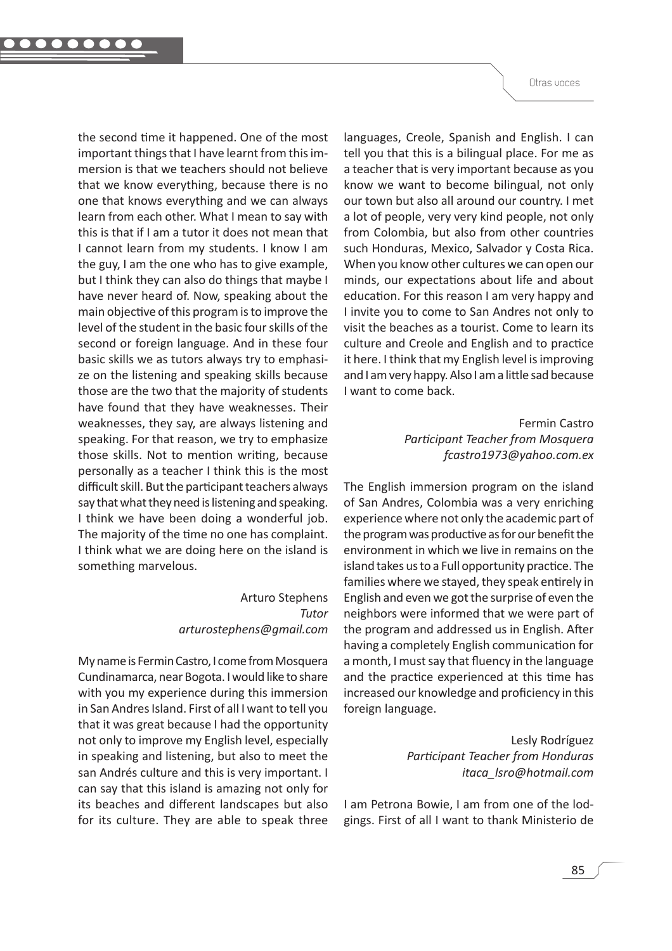the second time it happened. One of the most important things that I have learnt from this immersion is that we teachers should not believe that we know everything, because there is no one that knows everything and we can always learn from each other. What I mean to say with this is that if I am a tutor it does not mean that I cannot learn from my students. I know I am the guy, I am the one who has to give example, but I think they can also do things that maybe I have never heard of. Now, speaking about the main objective of this program is to improve the level of the student in the basic four skills of the second or foreign language. And in these four basic skills we as tutors always try to emphasize on the listening and speaking skills because those are the two that the majority of students have found that they have weaknesses. Their weaknesses, they say, are always listening and speaking. For that reason, we try to emphasize those skills. Not to mention writing, because personally as a teacher I think this is the most difficult skill. But the participant teachers always say that what they need is listening and speaking. I think we have been doing a wonderful job. The majority of the time no one has complaint. I think what we are doing here on the island is something marvelous.

## **Arturo Stephens** Tutor arturostephens@gmail.com

My name is Fermin Castro, I come from Mosquera Cundinamarca, near Bogota. I would like to share with you my experience during this immersion in San Andres Island. First of all I want to tell you that it was great because I had the opportunity not only to improve my English level, especially in speaking and listening, but also to meet the san Andrés culture and this is very important. I can say that this island is amazing not only for its beaches and different landscapes but also for its culture. They are able to speak three languages, Creole, Spanish and English. I can tell you that this is a bilingual place. For me as a teacher that is very important because as you know we want to become bilingual, not only our town but also all around our country. I met a lot of people, very very kind people, not only from Colombia, but also from other countries such Honduras, Mexico, Salvador y Costa Rica. When you know other cultures we can open our minds, our expectations about life and about education. For this reason I am very happy and I invite you to come to San Andres not only to visit the beaches as a tourist. Come to learn its culture and Creole and English and to practice it here. I think that my English level is improving and I am very happy. Also I am a little sad because I want to come back.

> Fermin Castro Participant Teacher from Mosquera fcastro1973@yahoo.com.ex

The English immersion program on the island of San Andres, Colombia was a very enriching experience where not only the academic part of the program was productive as for our benefit the environment in which we live in remains on the island takes us to a Full opportunity practice. The families where we stayed, they speak entirely in English and even we got the surprise of even the neighbors were informed that we were part of the program and addressed us in English. After having a completely English communication for a month, I must say that fluency in the language and the practice experienced at this time has increased our knowledge and proficiency in this foreign language.

> Lesly Rodríguez **Participant Teacher from Honduras** itaca Isro@hotmail.com

I am Petrona Bowie, I am from one of the lodgings. First of all I want to thank Ministerio de